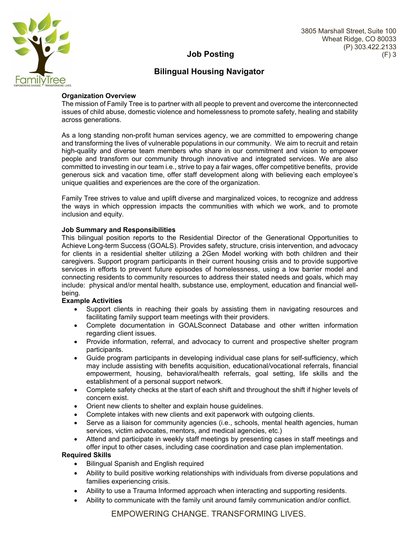

## **Job Posting**

# **Bilingual Housing Navigator**

## **Organization Overview**

The mission of Family Tree is to partner with all people to prevent and overcome the interconnected issues of child abuse, domestic violence and homelessness to promote safety, healing and stability across generations.

As a long standing non-profit human services agency, we are committed to empowering change and transforming the lives of vulnerable populations in our community. We aim to recruit and retain high-quality and diverse team members who share in our commitment and vision to empower people and transform our community through innovative and integrated services. We are also committed to investing in our team i.e., strive to pay a fair wages, offer competitive benefits, provide generous sick and vacation time, offer staff development along with believing each employee's unique qualities and experiences are the core of the organization.

Family Tree strives to value and uplift diverse and marginalized voices, to recognize and address the ways in which oppression impacts the communities with which we work, and to promote inclusion and equity.

## **Job Summary and Responsibilities**

This bilingual position reports to the Residential Director of the Generational Opportunities to Achieve Long-term Success (GOALS). Provides safety, structure, crisis intervention, and advocacy for clients in a residential shelter utilizing a 2Gen Model working with both children and their caregivers. Support program participants in their current housing crisis and to provide supportive services in efforts to prevent future episodes of homelessness, using a low barrier model and connecting residents to community resources to address their stated needs and goals, which may include: physical and/or mental health, substance use, employment, education and financial wellbeing.

#### **Example Activities**

- Support clients in reaching their goals by assisting them in navigating resources and facilitating family support team meetings with their providers.
- Complete documentation in GOALSconnect Database and other written information regarding client issues.
- Provide information, referral, and advocacy to current and prospective shelter program participants.
- Guide program participants in developing individual case plans for self-sufficiency, which may include assisting with benefits acquisition, educational/vocational referrals, financial empowerment, housing, behavioral/health referrals, goal setting, life skills and the establishment of a personal support network.
- Complete safety checks at the start of each shift and throughout the shift if higher levels of concern exist.
- Orient new clients to shelter and explain house guidelines.
- Complete intakes with new clients and exit paperwork with outgoing clients.
- Serve as a liaison for community agencies (i.e., schools, mental health agencies, human services, victim advocates, mentors, and medical agencies, etc.)
- Attend and participate in weekly staff meetings by presenting cases in staff meetings and offer input to other cases, including case coordination and case plan implementation.

#### **Required Skills**

- Bilingual Spanish and English required
- Ability to build positive working relationships with individuals from diverse populations and families experiencing crisis.
- Ability to use a Trauma Informed approach when interacting and supporting residents.
- Ability to communicate with the family unit around family communication and/or conflict.